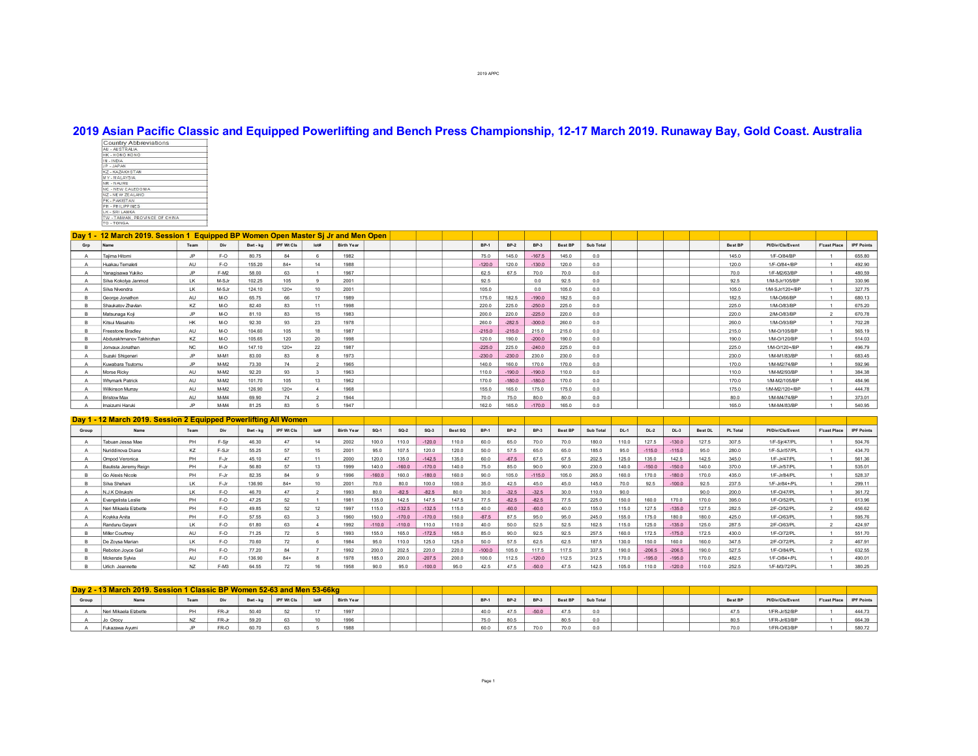## **2019 Asian Pacific Classic and Equipped Powerlifting and Bench Press Championship, 1217 March 2019. Runaway Bay, Gold Coast. Australia**

| <b>Country Abbreviations</b>   |  |
|--------------------------------|--|
| AU - AUSTRALIA                 |  |
| <b>HK-HONG KONG</b>            |  |
| IN - INDIA                     |  |
| JP - JAPAN                     |  |
| <b>KZ-KAZAKHSTAN</b>           |  |
| AIZYS IAM - YM                 |  |
| NR-NAURU                       |  |
| NC - NEW CALEDONIA             |  |
| NZ - NEW ZEALAND               |  |
| PK - PAKISTAN                  |  |
| PH . PHILIPPINES               |  |
| LK - SRI LANKA                 |  |
| TW - TAIWAN, PROVINCE OF CHINA |  |
| TO - TONGA                     |  |

|     | Day 1 - 12 March 2019. Session 1 Equipped BP Women Open Master Sj Jr and Men Open |           |        |          |            |                 |                   |  |  |             |          |          |         |                |  |         |                  |                     |                   |
|-----|-----------------------------------------------------------------------------------|-----------|--------|----------|------------|-----------------|-------------------|--|--|-------------|----------|----------|---------|----------------|--|---------|------------------|---------------------|-------------------|
| Grp | Name                                                                              | Team      | Div    | Bwt - kg | IPF Wt Cls | Iot#            | <b>Birth Year</b> |  |  | <b>BP-1</b> | $BP-2$   | $BP-3$   | Best BP | Sub Total      |  | Best BP | Pl/Div/Cls/Event | <b>F'cast Place</b> | <b>IPF Points</b> |
|     | Taiima Hitomi                                                                     | .IP       | F-O    | 80.75    | 84         |                 | 1982              |  |  | 75.0        | 1450     | $-167.5$ | 145.0   | 0.0            |  | 145.0   | 1/F-0/84/BP      |                     | 655.80            |
|     | Huakau Temaleti                                                                   | AU        | F-O    | 155.20   | $84+$      | 14              | 1988              |  |  | $-120.0$    | 120.0    | $-130.0$ | 120.0   | 0.0            |  | 120.0   | 1/F-0/84+/BP     |                     | 492.90            |
|     | Yanagisawa Yukiko                                                                 | JP.       | $F-M2$ | 58.00    | 63         |                 | 1967              |  |  | 62.5        | 67.5     | 70.0     | 70.0    | 0.0            |  | 70.0    | 1/F-M2/63/BP     |                     | 480.59            |
|     | Silva Kokolva Janmod                                                              | LK        | M-SJr  | 102.25   | 105        |                 | 2001              |  |  | 92.5        |          | 0.0      | 92.5    | 0.0            |  | 92.5    | 1/M-SJr/105/BP   |                     | 330.96            |
|     | Silva Nivendra                                                                    | LK        | M-SJr  | 124.10   | $120+$     |                 | 2001              |  |  | 105.0       |          | 0.0      | 105.0   |                |  | 105.0   | 1/M-SJr/120+/BP  |                     | 327.75            |
|     | George Jonathon                                                                   | AU        | M-O    | 65.75    | 66         |                 | 1989              |  |  | 175.0       | 182.5    | $-190.0$ | 182.5   | 0 <sub>0</sub> |  | 182.5   | 1/M-O/66/BP      |                     | 680.13            |
|     | Shaukatov Zhavlan                                                                 | KZ        | M-O    | 82.40    | 83         |                 | 1998              |  |  | 220.0       | 225.0    | $-250.0$ | 225.0   | n n            |  | 2250    | 1/M-Q/83/RP      |                     | 675.20            |
|     | Matsunaga Koji                                                                    | .IP       | M-O    | 81 10    | 83         |                 | 1983              |  |  | 200.0       | 2200     | $-225.0$ | 220.0   | 0 <sub>0</sub> |  | 2200    | 2/M-O/83/BP      |                     | 670.78            |
|     | Kitsui Masahito                                                                   | <b>HK</b> | M-O    | 92.30    | 93         | 23              | 1978              |  |  | 260.0       | $-282.5$ | $-300.0$ | 260.0   | 0.0            |  | 260.0   | 1/M-O/93/BP      |                     | 702.28            |
|     | Freestone Bradlev                                                                 | AU        | M-O    | 104.60   | 105        | 18              | 1987              |  |  | $-215.0$    | $-215.0$ | 215.0    | 215.0   | 0.0            |  | 215.0   | 1/M-O/105/BP     |                     | 565.19            |
|     | Abdurakhmanov Takhirzhan                                                          | KZ        | M-O    | 105 65   | 120        | 20 <sub>0</sub> | 1998              |  |  | 120.0       | 190.0    | $-200.0$ | 190.0   | 0.0            |  | 190.0   | 1/M-0/120/BP     |                     | 514.03            |
|     | Jonvaux Jonathan                                                                  | <b>NC</b> | M-O    | 147.10   | $120+$     | 22              | 1987              |  |  | $-225.0$    | 225.0    | $-240.0$ | 225.0   | 0.0            |  | 225.0   | 1/M-O/120+/BP    |                     | 496.79            |
|     | Suzuki Shigenari                                                                  | JP.       | M-M1   | 83.00    | 83         |                 | 1973              |  |  | $-230.0$    | $-230.0$ | 230.0    | 230.0   | 0.0            |  | 230.0   | 1/M-M1/83/BP     |                     | 683.45            |
|     | Kuwabara Tsutomu                                                                  | .IP       | $M-M2$ | 73.30    | 74         |                 | 1965              |  |  | 140.0       | 160.0    | 170.0    | 170.0   | 0 <sub>0</sub> |  | 170.0   | 1/M-M2/74/BP     |                     | 592.96            |
|     | Morse Ricky                                                                       | AU        | $M-M2$ | 92.20    | 93         |                 | 1963              |  |  | 110.0       | $-190.0$ | $-190.0$ | 110.0   | 0.0            |  | 110.0   | 1/M-M2/93/BP     |                     | 384.38            |
|     | <b>Whymark Patrick</b>                                                            | AU        | $M-M2$ | 101.70   | 105        | 13              | 1962              |  |  | 170.0       | $-180.0$ | $-180.0$ | 170.0   | 0.0            |  | 170.0   | 1/M-M2/105/BP    |                     | 484.96            |
|     | Wilkinson Murray                                                                  | AU        | $M-M2$ | 126.90   | $120+$     |                 | 1968              |  |  | 155.0       | 165.0    | 175.0    | 175.0   | 0.0            |  | 175.0   | 1/M-M2/120+/BP   |                     | 444.78            |
|     | <b>Bristow Max</b>                                                                | AU        | $M-M4$ | 69.90    | 74         |                 | 1944              |  |  | 70.0        | 75.0     | 80.0     | 80.0    | 0.0            |  | 80.0    | 1/M-M4/74/BP     |                     | 373.01            |
|     | Imaizumi Haruki                                                                   | ID        | $M-M4$ | 81.25    | <b>R3</b>  |                 | 1947              |  |  | 162.0       | 165.0    | $-170.0$ | 165.0   |                |  | 165.0   | 1/M-M4/83/BP     |                     | 540.95            |

|       | Day 1 - 12 March 2019. Session 2 Equipped Powerlifting All Women |      |         |          |            |      |                   |          |          |          |         |             |         |             |                |           |       |          |          |                |                 |                  |                     |                   |
|-------|------------------------------------------------------------------|------|---------|----------|------------|------|-------------------|----------|----------|----------|---------|-------------|---------|-------------|----------------|-----------|-------|----------|----------|----------------|-----------------|------------------|---------------------|-------------------|
| Group | Name                                                             | Team | Div     | Bwt - ka | IPF Wt Cls | lot# | <b>Birth Year</b> | $SO-1$   | $SO-2$   | $SO-3$   | Best SQ | <b>BP-1</b> | $BP-2$  | <b>BP-3</b> | <b>Best BF</b> | Sub Total | DL-1  | $DL-2$   | $DL-3$   | <b>Best DL</b> | <b>PL Total</b> | Pl/Div/Cls/Event | <b>F'cast Place</b> | <b>IPF Points</b> |
|       | Tabuan Jessa Mae                                                 | PH   | F-Sir   | 46.30    | A7         |      | 2002              | 100.0    | 110.U    | $-120.0$ | 110.0   | 60.0        | 65.0    | 70.0        | 70.0           | 180.0     | 110.0 | 127.5    | $-130.0$ | 127.5          | 307.5           | 1/F-Sir/47/PL    |                     | 504.76            |
|       | Nuriddinova Diana                                                | KZ   | F-SJr   | 55.25    | 57         |      | 2001              | 95.0     | 107.5    | 120.0    | 120.0   | 50.0        | 57.5    | 65.0        | 65.0           | 185.0     | 95.0  | $-115.0$ | $-115.0$ | 95.0           | 280.0           | 1/F-SJr/57/PL    |                     | 434.70            |
|       | Ompod Veronica                                                   | PH   | F-Jr    | 45.10    | 47         |      | 2000              | 120.0    | 135.0    | $-142.5$ | 135.0   | 60.0        | $-67.5$ | 67.5        | 67.5           | 202.5     | 125.0 | 135.0    | 142.5    | 142.5          | 345.0           | 1/F-Jr/47/PL     |                     | 561.36            |
|       | Bautista Jeremy Reign                                            | PH   | F-Jr    | 56.80    | 57         |      | 1999              | 140.0    | $-160.0$ | $-170.0$ | 140.0   | 75.0        | 85.0    | 90.0        | 90.0           | 230.0     | 140.0 | $-150.0$ | $-150.0$ | 140.0          | 370.0           | 1/F-Jr/57/PL     |                     | 535.01            |
|       | Go Alexis Nicole                                                 | PH   | F-Jr    | 82.35    | 84         |      | 1996              | $-160.0$ | 160.0    | $-180.0$ | 160.0   | 90.0        | 105.0   | $-115.0$    | 105.0          | 265.0     | 160.0 | 170.0    | $-180.0$ | 170.0          | 435.0           | 1/F-Jr/84/PL     |                     | 528.37            |
|       | Silva Shehani                                                    | LK.  | F-Jr    | 136.90   | $84+$      |      | 2001              | 70.0     | 80.0     | 100.0    | 100.0   | 35.0        | 42.5    | 45.0        | 45.0           | 145.0     | 70.0  | 92.5     | $-100.0$ | 92.5           | 237.5           | 1/F-Jr/84+/PL    |                     | 299.11            |
|       | N.J.K Dilrukshi                                                  | LK.  | F-O     | 46.70    | 47         |      | 1993              | 80.0     | $-82.5$  | $-82.5$  | 80.0    | 30.0        | $-32.5$ | $-32.5$     | 30.0           | 110.0     | 90.0  |          |          | 90.0           | 200.0           | 1/F-0/47/PL      |                     | 361.72            |
|       | Evangelista Leslie                                               | PH   | F-O     | 47.25    | 52         |      | 1981              | 135.0    | 142.5    | 1475     | 147.5   | 77.5        | $-82.5$ | $-82.5$     | 77.5           | 225.0     | 150.0 | 160.0    | 170.0    | 170.0          | 395.0           | 1/F-0/52/PL      |                     | 613.96            |
|       | Neri Mikaela Elzbette                                            | PH   | F-O     | 49.85    | 52         |      | 1997              | 115.0    | $-132.5$ | $-132.5$ | 115.0   | 40.0        | $-60.0$ | $-60.0$     | 40.0           | 155.0     | 115.0 | 127.5    | $-135.0$ | 127.5          | 282.5           | 2/F-0/52/PL      |                     | 456.62            |
|       | Kovkka Anita                                                     | PH   | F-O     | 57.55    | 63         |      | 1960              | 150.0    | $-170.0$ | $-170.0$ | 150.0   | $-87.5$     | 87.5    | 95.0        | 95.0           | 245.0     | 155.0 | 175.0    | 180.0    | 180.0          | 425.0           | 1/F-0/63/PL      |                     | 595.76            |
|       | Randunu Gayani                                                   | LK   | F-O     | 61.80    | <b>CR</b>  |      | 1002              | $-110.0$ | $-110.0$ | 110.0    | 1100    | 40.0        | 50.0    | 52.5        | 52.5           | 162.5     | 1150  | 125.0    | $-135.0$ | 125.0          | 287.5           | 2/F-0/63/PL      |                     | 424.97            |
|       | Miller Courtney                                                  | AU   | F-O     | 71.25    | 72         |      | 1993              | 155.0    | 165.0    | $-172.5$ | 1650    | 85.0        | 900     | 92.5        | 92.5           | 257.5     | 1600  | 172.5    | $-1750$  | 172.5          | 430.0           | 1/F-0/72/PL      |                     | 551.70            |
|       | De Zoysa Marian                                                  | IK   | F-O     | 70.60    | 72         |      | 1984              | 950      | 1100     | 125.0    | 1250    | 50.0        | 57.5    | 62.5        | 62.5           | 187.5     | 130.0 | 150.0    | 160.0    | 160.0          | 347.5           | 2/F-0/72/PL      |                     | 467.91            |
|       | Reboton Joyce Gail                                               | PH   | $F - O$ | 77.20    | 84         |      | 1992              | 200.0    | 202.5    | 220.0    | 220.0   | $-100.0$    | 105.0   | 117.5       |                | 337.5     | 190.0 | $-206.5$ | $-206.5$ | 190.0          | 527.5           | 1/F-0/84/PL      |                     | 632.55            |
|       | Mckenzie Sylvia                                                  | AU   | F-O     | 136.90   | $84+$      |      | 1978              | 185.0    | 200.0    | $-207.5$ | 200.0   | 100.0       | 112.5   | $-120.0$    | 112.5          | 312.5     | 170.0 | $-195.0$ | $-195.0$ | 170.0          | 482.5           | 1/F-0/84+/PL     |                     | 490.01            |
|       | Urlich Jeannette                                                 | N7   | $F-M3$  | 64.55    | 72         |      |                   | 90.0     | 95.0     | $-100.0$ | 95.0    | 42.5        | 47.5    | $-50.0$     | 47.5           | 142.5     | 105.0 | 110.0    | $-120.0$ | 110.0          | 252.5           | 1/F-M3/72/PL     |                     | 380.25            |

|       | Day 2 - 13 March 2019, Session 1 Classic BP Women 52-63 and Men 53-66kg |    |       |          |                   |      |                   |  |  |             |             |             |                |           |                |                  |                         |        |
|-------|-------------------------------------------------------------------------|----|-------|----------|-------------------|------|-------------------|--|--|-------------|-------------|-------------|----------------|-----------|----------------|------------------|-------------------------|--------|
| Group | Name                                                                    |    |       | Bwt - ka | <b>IPF Wt Cls</b> | lot# | <b>Birth Year</b> |  |  | <b>BP-1</b> | <b>BP-2</b> | <b>BP-3</b> | <b>Best BP</b> | Sub Total | <b>Best BF</b> | Pl/Div/Cls/Event | F'cast Place IPF Points |        |
|       | Neri Mikaela Elzbette                                                   | PH | FR-Jr | 50.40    |                   |      |                   |  |  | 40.0        | 47.5        | $-50.0$     |                |           | 47.5           | 1/FR-Jr/52/BP    |                         | 444.73 |
|       | Jo Orocy                                                                |    | FR-Jr | 59.20    | ಲ                 |      | 1000              |  |  | 75.0        | 80.5        |             |                |           | 80.5           | 1/FR-Jr/63/BP    |                         | 664.39 |
|       | Fukazawa Avumi                                                          |    | FR-O  | 60.70    | ಲ                 |      | 1000<br>1900.     |  |  | 60.0        | 27E         | 70.0        | 70.0           |           | 70.0           | 1/FR-0/63/BP     |                         | 580.72 |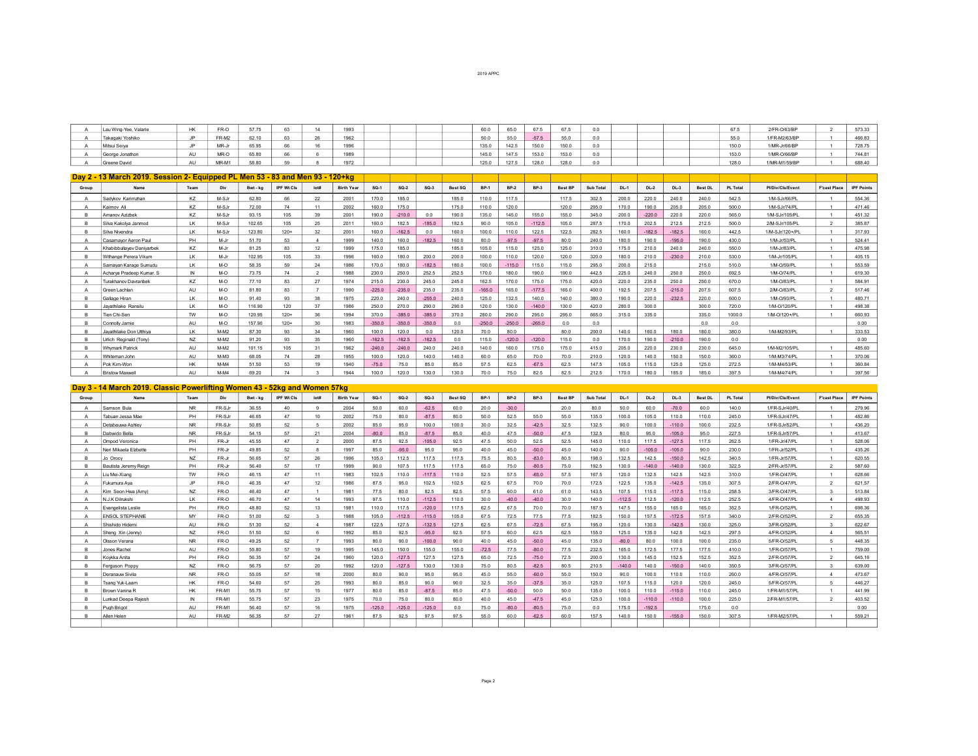| Lau Wing-Yee, Valarie |    | FR-0                  |       |    | .          |  | 60.0  |       | $\sim$ |       |     |  | 671   | 2/FR-0/63/BP  | 573.33 |
|-----------------------|----|-----------------------|-------|----|------------|--|-------|-------|--------|-------|-----|--|-------|---------------|--------|
| Takagaki Yoshiko      |    | ER-M2                 | S2 10 |    |            |  | 50.0  | 55.0  | $-57'$ | 55.0  |     |  | 55.0  | 1/FR-M2/63/BP | 466.83 |
| Mitsui Seiya          |    | MD.<br><b>IVIR-JI</b> | 5.95  | 66 | .<br>- 100 |  | 135.0 | 142.5 | 150.0  | 150.0 | 0.0 |  | 150.0 | 1/MR-Jr/66/BP | 728.75 |
| George Jonathon       |    | MR-C                  | 65.80 |    |            |  | 1450  | 147.5 | 153.0  | 153.0 |     |  | 153.0 | 1/MR-O/66/BP  | 744.81 |
| Greene David          | nu | MR-M1                 | 58.80 |    | 1972       |  | 125.0 | 127.5 | 128.0  | 128.0 | 0.0 |  | 128.0 | 1/MR-M1/59/BP | 688.40 |

|          | Day 2 - 13 March 2019. Session 2- Equipped PL Men 53 - 83 and Men 93 - 120+kg |             |        |          |            |      |                   |          |          |                |         |             |         |          |                 |                |        |          |          |                |                  |                  |                     |                   |
|----------|-------------------------------------------------------------------------------|-------------|--------|----------|------------|------|-------------------|----------|----------|----------------|---------|-------------|---------|----------|-----------------|----------------|--------|----------|----------|----------------|------------------|------------------|---------------------|-------------------|
| Group    | Name                                                                          | Team        | Div    | Bwt - kg | IPF Wt Cls | lot# | <b>Birth Year</b> | $SO-1$   | $SO-2$   | $SO-3$         | Best SQ | <b>BP-1</b> | $RP-2$  | $BP-3$   | Best BP         | Sub Total      | $DL-1$ | $DL-2$   | $DL-3$   | <b>Best DL</b> | <b>PL Total</b>  | Pl/Div/Cls/Event | <b>F'cast Place</b> | <b>IPF Points</b> |
|          | Sadvkov Karimzhan                                                             | K7          | M-S.Ir | 62.80    | 66         | 22   | 2001              | 170.0    | 185.0    |                | 1850    | 110.0       | 117.5   |          | 117.5           | 302.5          | 200.0  | 220.0    | 240.0    | 240.0          | 542.5            | 1/M-S.Ir/66/PI   |                     | 554.36            |
|          | Kaimov Al                                                                     | K7          | M-S.Ir | 72.00    | 74         |      | 2002              | 160.0    | 175.0    |                | 1750    | 110.0       | 1200    |          | 1200            | 295.0          | 1700   | 190.0    | 2050     | 205.0          | 500 <sub>0</sub> | 1/M-S.Ir/74/PI   |                     | 471.46            |
|          | Amanov Azizbek                                                                | K7          | M-S.Ir | 93.15    | 105        | 20   | 2001              | 190.0    | $-2100$  | 0 <sub>0</sub> | 1900    | 1350        | 1450    | 1550     | 1550            | 3450           | 200.0  | $-2200$  | 2200     | 2200           | 565.0            | 1/M-SJr/105/PL   |                     | 451.32            |
|          | Silva Kakolva Janmod                                                          | IK          | M-SJr  | 102.65   | 105        | 25   | 2011              | 160.0    | 182.5    | $-185.0$       | 182.5   | 90.0        | 1050    | $-112.5$ | 1050            | 287.5          | 170.0  | 202.5    | 212.5    | 212.5          | 500.0            | 2/M-SJr/105/PL   |                     | 385.87            |
|          | Silva Nivendra                                                                | IK          | M-S.Ir | 123.80   | $120+$     |      | 2001              | 160.0    | $-162.5$ | 0 <sub>0</sub> | 1600    | 1000        | 110     | 122.5    | 122.5           | 282.5          | 1600   | $-182.5$ | $-182.5$ | 1600           | 442.5            | 1/M-SJr/120+/PL  |                     | 31793             |
|          | Casamayor Aeron Paul                                                          | PH          | M-Jr   | 5170     | 53         |      | 1999              | 140.0    | 160.0    | $-182.5$       | 160.0   | 80.0        | $-97.5$ | $-97.5$  | 80.0            | 240.0          | 180.0  | 190.0    | $-195.0$ | 190.0          | 430.0            | 1/M-Jr/53/PL     |                     | 524.41            |
|          | Khabibbullavev Danivarbek                                                     | KZ          | M-Ir   | 81.25    | 83         | 12   | 1999              | 175.0    | 185.0    |                | 185.0   | 105.0       | 115.0   | 125.0    | 125.0           | 310.0          | 175.0  | 210.0    | 240.0    | 240.0          | 550.0            | 1/M-Jr/83/PI     |                     | 475.98            |
| B.       | Withange Perera Vikum                                                         | IK          | M-Ir   | 102.95   | 105        | 33   | 1996              | 160.0    | 180.0    | 200.0          | 200.0   | 100.0       | 110.0   | 120.0    | 120.0           | 320.0          | 180.0  | 210.0    | $-230.0$ | 210.0          | 530.0            | 1/M-Jr/105/PI    |                     | 405 15            |
|          | Samayan Karage Sumudu                                                         | IK          | M-O    | 58.35    | 59         | 24   | 1986              | 170.0    | 180.0    | $-182.5$       | 180.0   | 100.0       | $-1150$ | 115.0    | 115.0           | 295.0          | 200.0  | 215.0    |          | 215.0          | 510.0            | 1/M-0/59/PI      |                     | 553.59            |
|          | Acharva Pradeep Kumar, S.                                                     | $\mathbb N$ | M-O    | 73.75    | 74         |      | 1988              | 230.0    | 250.0    | 252.5          | 252.5   | 170.0       | 180.0   | 190.0    | 190.0           | 442.5          | 225.0  | 240.0    | 250.0    | 250.0          | 692.5            | 1/M-0/74/PI      |                     | 619.30            |
|          | Turakhanov Davranbek                                                          | K7          | M-O    | 77 10    | 83         | 27   | 1974              | 215.0    | 230.0    | 245.0          | 245.0   | 162.5       | 170.0   | 175.0    | 175.0           | 420.0          | 220.0  | 235.0    | 250.0    | 250.0          | 670.0            | 1/M-O/83/PI      |                     | 584.91            |
|          | Green Lachlan                                                                 | AU          | M-O    | 81.80    | 83         |      | 1990              | $-225.0$ | $-235.0$ | 235.0          | 235.0   | $-165.0$    | 165.0   | $-177.5$ | 165.0           | 400.0          | 192.5  | 207.5    | $-215.0$ | 207.5          | 607.5            | 2/M-O/83/PL      | $\mathcal{P}$       | 517.46            |
| <b>B</b> | Gallage Hiran                                                                 | LK          | M-O    | 9140     | 93         | 38   | 1975              | 220.0    | 240.0    | $-255.0$       | 240.0   | 125.0       | 132.5   | 140.0    | 140.0           | 380.0          | 190.0  | 220.0    | $-232.5$ | 220.0          | 600.0            | 1/M-Q/93/PI      |                     | 480.71            |
| B.       | Javathilake Ransilu                                                           | IK          | O-M    | 116.90   | $120 -$    | 37   | 1986              | 250.0    | 270.0    | 290.0          | 290.0   | 120.0       | 130.0   | $-1400$  | 130.0           | 420.0          | 280.0  | 300.0    |          | 3000           | 720.0            | 1/M-0/120/PI     |                     | 498.38            |
| <b>B</b> | Tien Chi-Sen                                                                  | <b>TW</b>   | M-O    | 120.95   | $120+$     | 36   | 1994              | 370.0    | $-385.0$ | $-385.0$       | 370.0   | 280.0       | 290.0   | 295.0    | 295.0           | 665.0          | 315.0  | 335.0    |          | 335.0          | 1000.0           | 1/M-O/120+/PL    |                     | 660.93            |
|          | Connolly Jamie                                                                | AU          | O-M    | 157 90   | $120+$     |      | 1983              | $-3500$  | $-3500$  | $-350.0$       |         | $-250.0$    | $-2500$ | $-265.0$ | 0 <sub>0</sub>  | 0 <sub>0</sub> |        |          |          | 00             | 0 <sub>0</sub>   |                  |                     | 0.00              |
|          | Javathilake Don Utthiva                                                       | IK          | $M-M2$ | 8730     | <b>Q3</b>  | 34   | 1960              | 100.0    | 120.0    | 00             | 1200    | 70.0        | 80.0    |          | 80 <sub>0</sub> | 200.0          | 1400   | 1600     | 1800     | 1800           | 380.0            | 1/M-M2/93/PL     |                     | 333.53            |
|          | Urlich Reginald (Tony)                                                        | NZ          | $M-M2$ | 91.20    | <b>Q3</b>  |      | 1960              | $-162.5$ | $-162.5$ | $-162.5$       |         | 1150        | $-1200$ | $-1200$  | 1150            | 0 <sub>0</sub> | 1700   | 1900     | $-2100$  | 1900           | 0 <sub>0</sub>   |                  |                     | 0.00              |
|          | <b>Whymark Patrick</b>                                                        | AU          | $M-M2$ | 101 15   | 105        | 31   | 1962              | $-240.0$ | $-240.0$ | 240.0          | 240.0   | 140.0       | 160.0   | 175.0    | 175.0           | 415.0          | 205.0  | 220.0    | 230.0    | 230.0          | 645.0            | 1/M-M2/105/PI    |                     | 485.60            |
|          | Whiteman John                                                                 | AU          | $M-M3$ | 68.05    | 74         | 28   | 1955              | 100.0    | 120.0    | 140.0          | 140.0   | 60.0        | 65.0    | 70.0     | 70.0            | 210.0          | 120.0  | 140.0    | 150.0    | 150.0          | 360.0            | 1/M-M3/74/PI     |                     | 370.06            |
|          | Pok Kim-Won                                                                   | HK          | $M-M4$ | 51.50    | 53         | 19   | 1940              | $-75.0$  | 75.0     | 85.0           | 85.0    | 57.5        | 62.5    | $-67.5$  | 62.5            | 147.5          | 105.0  | 115.0    | 125.0    | 1250           | 272.5            | 1/M-M4/53/PI     |                     | 36084             |
|          | <b>Bristow Maxwell</b>                                                        | AU          | $M-M4$ | 69.20    | 74         |      | 1944              | 100.0    | 120.0    | 130.0          | 130.0   | 70.0        | 75.0    | 82.5     | 82.5            | 212.5          | 170.0  | 180.0    | 185.0    | 185.0          | 397.5            | 1/M-M4/74/PI     |                     | 397.56            |

## **Day 3 14 March 2019. Classic Powerlifting Women 43 52kg and Women 57kg**

| Group | Name                   | Team         | Div     | Bwt - ka | IPF Wt Cls | lot#            | <b>Birth Year</b> | $SO-1$  | $SO-2$   | $SO-3$   | Best SQ | <b>BP-1</b> | $BP-2$  | $BP-3$  | Best BP | Sub Total      | $DL-1$   | $DL-2$   | $DL-3$   | <b>Best DL</b> | PL Total       | Pl/Div/Cls/Event | <b>F'cast Place</b>      | <b>IPF Points</b> |
|-------|------------------------|--------------|---------|----------|------------|-----------------|-------------------|---------|----------|----------|---------|-------------|---------|---------|---------|----------------|----------|----------|----------|----------------|----------------|------------------|--------------------------|-------------------|
|       | Samson Bula            | <b>NR</b>    | FR-SJr  | 36.55    | 40         |                 | 2004              | 50.0    | 60.0     | $-62.5$  | 60.0    | 20.0        | $-30.0$ |         | 20.0    | 80.0           | 50.0     | 60.0     | $-70.0$  | 60.0           | 140.0          | 1/FR-SJr/40/PL   |                          | 279.96            |
|       | Tabuan Jessa Mae       | PH           | FR-S.Ir | 46.65    | 47         | 10 <sup>1</sup> | 2002              | 75.0    | 80.0     | $-87.5$  | 80.0    | 50.0        | 52.5    | 55.0    | 55.0    | 135.0          | 100.0    | 105.0    | 110.0    | 110.0          | 2450           | 1/FR-S.Ir/47/PI  |                          | 482.86            |
|       | Detabauwa Ashley       | <b>NR</b>    | FR-S.Ir | 5085     | 52         |                 | 2002              | 850     | 95.0     | 100.0    | 1000    | 30.0        | 32.5    | $-42.5$ | 32.5    | 132.5          | 90.0     | 100.0    | $-110.0$ | 100.0          | 232.5          | 1/FR-SJr/52/PL   |                          | 436.20            |
|       | Dahwido Bella          | <b>NR</b>    | FR-SJr  | 54.15    | 57         | 21              | 2004              | $-80.0$ | 85.0     | $-87.5$  | 85.0    | 40.0        | 47.5    | $-50.0$ | 47.5    | 132.5          | 80.0     | 95.0     | $-105.0$ | 95.0           | 227.5          | 1/FR-SJr/57/PL   |                          | 413.67            |
|       | Ompod Veronica         | PH           | FR-In   | 45.55    | 47         | $\sim$          | 2000              | 87.5    | 92.5     | $-1050$  | 92.5    | 47.5        | 50.0    | 52.5    | 52.5    | 145.0          | 110.0    | 117.5    | $-127.5$ | 117.5          | 262.5          | 1/FR-Jr/47/PL    |                          | 528.06            |
|       | Neri Mikaela Elzhette  | PH           | FR-Jr   | 4985     | 52         |                 | 1997              | 85.0    | $-950$   | 95.0     | 950     | 400         | 450     | $-50.0$ | 450     | 1400           | 90.0     | $-105.0$ | $-1050$  | 90.0           | 2300           | 1/FR-Jr/52/PL    |                          | 435.26            |
|       | Jo Orocy               | NZ           | FR-Jr   | 56.65    | 57         | 26              | 1996              | 105.0   | 112.5    | 117.5    | 117.5   | 75.5        | 80.5    | $-83.0$ | 80.5    | 198.0          | 132.5    | 142.5    | $-150.0$ | 142.5          | 340.5          | 1/FR-Jr/57/PL    |                          | 620.55            |
|       | Bautista Jeremy Reign  | PH           | FR-In   | 56.40    | 57         | 17              | 1999              | 90.0    | 107.5    | 117.5    | 117.5   | 65.0        | 75.0    | $-80.5$ | 75.0    | 192.5          | 130.0    | $-140.0$ | $-1400$  | 130.0          | 322.5          | 2/FR-Jr/57/PL    | $\overline{2}$           | 587.60            |
|       | iu Mei-Xiang           | TW           | FR-O    | 46 15    | 47         | 11              | 1983              | 102.5   | 1100     | $-117.5$ | 1100    | 52.5        | 57.5    | $-650$  | 57.5    | 167.5          | 120.0    | 132.5    | 142.5    | 142.5          | 3100           | 1/FR-0/47/PI     |                          | 628.66            |
|       | Fukumura Ava           | JP.          | FR-O    | 46.35    | 47         | 12              | 1986              | 87.5    | 95.0     | 102.5    | 102.5   | 62.5        | 67.5    | 70.0    | 70.0    | 172.5          | 122.5    | 135.0    | $-142.5$ | 135.0          | 307.5          | 2/FR-0/47/PL     | $\overline{\phantom{a}}$ | 621.57            |
|       | Kim Seon Hwa (Amv)     | NZ           | FR-0    | 46.40    | 47         |                 | 1981              | 77.5    | 80.0     | 82.5     | 82.5    | 57.5        | 60.0    | 61.0    | 61.0    | 143.5          | 107.5    | 115.0    | $-117.5$ | 115.0          | 258.5          | 3/FR-0/47/PL     | $\mathcal{R}$            | 513.84            |
|       | N.J.K Dilrukshi        | <b>LK</b>    | FR-O    | 46.70    | 47         | 14              | 1993              | 97.5    | 110.0    | $-112.5$ | 110.0   | 30.0        | $-40.0$ | $-40.0$ | 30.0    | 140.0          | $-112.5$ | 112.5    | $-120.0$ | 112.5          | 252.5          | 4/FR-0/47/PL     | $\Delta$                 | 498.93            |
|       | vangelista Leslie      | PH           | FR-0    | 48.80    | 52         | 13              | 1981              | 1100    | 117.5    | $-120.0$ | 117.5   | 62.5        | 67.5    | 70.0    | 70 Q    | 187.5          | 147.5    | 155.0    | 165.0    | 165.0          | 352.5          | 1/FR-0/52/PL     |                          | 698.36            |
|       | <b>ENSOL STEPHANIE</b> | MY           | FR-O    | 51.00    | 52         |                 | 1988              | 1050    | $-1125$  | $-115.0$ | 1050    | 67.5        | 72.5    | 77.5    | 77.5    | 182.5          | 1500     | 157.5    | $-172.5$ | 157.5          | 3400           | 2/FR-0/52/PL     | $\mathcal{L}$            | 655.35            |
|       | Shishido Hidemi        | AU           | FR-O    | 51.30    | 52         |                 | 1987              | 122.5   | 127.5    | $-132.5$ | 127.5   | 62.5        | 67.5    | $-72.5$ | 67.5    | 195.0          | 120.0    | 130.0    | $-142.5$ | 130.0          | 325.0          | 3/FR-0/52/PL     | $\mathcal{R}$            | 622.67            |
|       | Sheng Xin (Jenny)      | NZ           | FR-O    | 51.50    | 52         |                 | 1992              | 85.0    | 92.5     | $-95.0$  | 92.5    | 57.5        | 60.0    | 62.5    | 62.5    | 155.0          | 125.0    | 135.0    | 142.5    | 142.5          | 297.5          | 4/FR-0/52/PL     | $\overline{4}$           | 565.51            |
|       | Olsson Verana          | <b>NR</b>    | FR-0    | 49 25    | 52         |                 | 1993              | 80.0    | 90.0     | $-100.0$ | 90.0    | 40.0        | 45.0    | $-50.0$ | 45.0    | 135.0          | $-80.0$  | 80.0     | 100.0    | 100.0          | 2350           | 5/FR-0/52/PL     | $5^{\circ}$              | 448.35            |
|       | Jones Rachel           | AU           | FR-0    | 55.80    | 57         | 19              | 1995              | 145.0   | 150.0    | 155.0    | 155.0   | $-72.5$     | 77.5    | $-80.0$ | 77.5    | 232.5          | 165.0    | 172.5    | 177.5    | 177.5          | 410.0          | 1/FR-0/57/PL     |                          | 759.00            |
|       | Kovkka Anita           | PH           | FR-O    | 56.35    | 57         | 24              | 1960              | 120.0   | $-127.5$ | 127.5    | 127.5   | 65.0        | 72.5    | $-75.0$ | 72.5    | 200.0          | 130.0    | 145.0    | 152.5    | 152.5          | 352.5          | 2/FR-0/57/PL     | $\overline{2}$           | 645.16            |
|       | Ferguson Ponny         | NZ           | FR-0    | 5675     | 57         | 20              | 1992              | 120.0   | $-127.5$ | 130.0    | 130.0   | 75.0        | 80.5    | $-82.5$ | 80.5    | 210.5          | $-1400$  | 140.0    | $-1500$  | 140.0          | 350.5          | 3/FR-0/57/PL     | $\mathbf{3}$             | 639.00            |
|       | Deranauw Sivila        | <b>NR</b>    | FR-0    | 55.05    | 57         | 18              | 2000              | 80.0    | 90.0     | 95.0     | 95.0    | 45.0        | 550     | $-60.0$ | 550     | 150.0          | 90.0     | 100.0    | 110.0    | 110.0          | 260.0          | 4/FR-0/57/PL     | $\overline{4}$           | 473.67            |
|       | Tsang Yuk-Laam         | <b>HK</b>    | FR-O    | 54.60    | 57         | 25              | 1993              | 80.0    | 85.0     | 90.0     | 90.0    | 32.5        | 35.0    | $-37.5$ | 35.0    | 125.0          | 107.5    | 115.0    | 120.0    | 120.0          | 245.0          | 5/FR-0/57/PL     | $5^{\circ}$              | 446.27            |
|       | <b>Brown Vanina R</b>  | <b>HK</b>    | FR-M1   | 5575     | 57         | 15              | 1977              | 80.0    | 85.0     | $-87.5$  | 85.0    | 47.5        | $-50.0$ | 50.0    | 50.0    | 135.0          | 1000     | 110.0    | $-1150$  | 110.0          | 2450           | 1/FR-M1/57/PI    |                          | 441 99            |
|       | unkad Deepa Raiesh     | $\mathbb{N}$ | FR-M1   | 55.75    | 57         | 23              | 1975              | 70.0    | 75.0     | 80.0     | 80.0    | 40.0        | 45.0    | $-47.5$ | 45.0    | 125.0          | 100.0    | $-110.0$ | $-1100$  | 100.0          | 225.0          | 2/FR-M1/57/PL    | $\overline{2}$           | 403.52            |
|       | Pugh Briggt            | AU           | FR-M1   | 56.40    | 57         | 16              | 1975              | $-1250$ | $-1250$  | $-1250$  | n n     | 75.0        | $-800$  | $-80.5$ | 75.0    | 0 <sub>0</sub> | 1750     | $-192.5$ |          | 1750           | 0 <sub>0</sub> |                  |                          | 0.00              |
|       | Allen Helen            | AU           | FR-M2   | 56.35    | 57         | 27              | 1961              | 87.5    | 92.5     | 97.5     | 97.5    | 550         | 60.0    | $-62.5$ | 60.0    | 157.5          | 1400     | 1500     | $-1550$  | 1500           | 307.5          | 1/FR-M2/57/PI    |                          | 559.21            |
|       |                        |              |         |          |            |                 |                   |         |          |          |         |             |         |         |         |                |          |          |          |                |                |                  |                          |                   |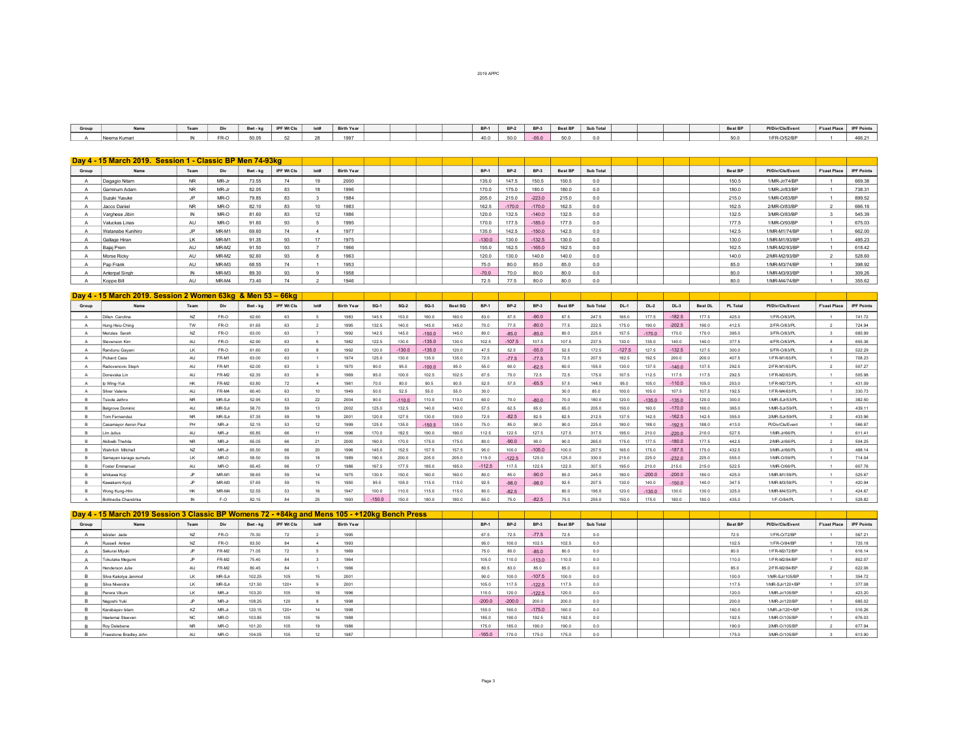| Group |           | Team | <b>DIV</b> | Bwt - ka | IPF Wt Cls | lot# | <b>Birth Year</b> |  | <b>BP-1</b> | $BP-2$ | $BP-3$ | Best BP | Sub Total |  | Best BP | Pl/Div/Cls/Event | F'cast Place | <b>IPF Points</b> |
|-------|-----------|------|------------|----------|------------|------|-------------------|--|-------------|--------|--------|---------|-----------|--|---------|------------------|--------------|-------------------|
|       | eema Kumr |      | FR-O       | 50.05    |            |      | 1007              |  | 40.0        | 50 Q   | -55.0  |         |           |  | 50.0    | /ER_0/52/RI      |              | 466.21            |

|       | Day 4 - 15 March 2019. Session 1 - Classic BP Men 74-93kg |              |         |          |            |      |                   |             |          |          |         |                |  |  |         |                  |                     |                   |
|-------|-----------------------------------------------------------|--------------|---------|----------|------------|------|-------------------|-------------|----------|----------|---------|----------------|--|--|---------|------------------|---------------------|-------------------|
| Group | Name                                                      | Team         | Div     | Bwt - kg | IPF Wt Cls | lot# | <b>Birth Year</b> | <b>BP-1</b> | $BP-2$   | $BP-3$   | Best BP | Sub Total      |  |  | Best BP | Pl/Div/Cls/Event | <b>F'cast Place</b> | <b>IPF Points</b> |
|       | Dagagio Nitam                                             | <b>NR</b>    | MR-Jr   | 73.55    | 74         |      | 2000              | 135.0       | 147.5    | 150.5    | 150.5   | 0 <sub>0</sub> |  |  | 150.5   | 1/MR-Jr/74/BP    |                     | 669.38            |
|       | Gaminum Adam                                              | <b>NR</b>    | MR-Jr   | 82.05    | <b>RR</b>  |      | 1996              | 170.0       | 175.0    | 180.0    | 180.0   | 0 <sub>0</sub> |  |  | 180.0   | 1/MR-Jr/83/BP    |                     | 738.31            |
|       | Suzuki Yusuke                                             | ID           | MR-O    | 79.85    | <b>R3</b>  |      | 1984              | 205.0       | 215.0    | $-223.0$ | 2150    | 0 <sub>0</sub> |  |  | 215.0   | 1/MR-0/83/BP     |                     | 899.52            |
|       | Jacco Daniel                                              | <b>NR</b>    | MR-O    | 82.10    | 83         |      | 1983              | 162.5       | $-170.0$ | $-170.0$ | 162.5   | 0.0            |  |  | 162.5   | 2/MR-O/83/BP     |                     | 666.16            |
|       | Varghese Jibin                                            | N            | MR-O    | 81.60    | 83         | 12   | 1986              | 120.0       | 132.5    | $-140.0$ | 132.5   | 0.0            |  |  | 132.5   | 3/MR-O/83/BP     |                     | 545.39            |
|       | Valuckas Linas                                            | AU           | MR-O    | 91.60    | 93         |      | 1995              | 170.0       | 177.5    | $-185.0$ | 177.5   | 0.0            |  |  | 177.5   | 1/MR-O/93/BP     |                     | 675.03            |
|       | Watanabe Kunihiro                                         | .IP          | MR-M1   | 69.60    | 74         |      | 1977              | 135.0       | 142.5    | $-150.0$ | 142.5   | 0.0            |  |  | 142.5   | 1/MR-M1/74/BP    |                     | 662.00            |
|       | Gallage Hiran                                             | LK           | MR-M1   | 91.35    | 93         |      | 1975              | $-130.0$    | 130.0    | $-132.5$ | 130.0   | 0.0            |  |  | 130.0   | 1/MR-M1/93/BP    |                     | 495.23            |
|       | Baiai Prem                                                | AU           | MR-M2   | 91.50    | 93         |      | 1966              | 155.0       | 162.5    | $-165.0$ | 162.5   | 0.0            |  |  | 162.5   | 1/MR-M2/93/BP    |                     | 618.42            |
|       | Morse Ricky                                               | AU           | MR-M2   | 92.60    | 93         |      | 1963              | 120.0       | 130.0    | 140.0    | 140.0   | 0.0            |  |  | 140.0   | 2/MR-M2/93/BP    |                     | 528.60            |
|       | Pap Frank                                                 | AU           | $MR-M3$ | 68.55    | 74         |      | 1953              | 75.0        | 80.0     | 85.0     | 85.0    | 0.0            |  |  | 85.0    | 1/MR-M3/74/BP    |                     | 398.92            |
|       | Anterpal Singh                                            | $\mathbb{N}$ | $MR-M3$ | 89.30    | 93         |      | 1958              | $-70.0$     |          | 80.0     | 80.0    | 0.0            |  |  | 80.0    | 1/MR-M3/93/BP    |                     | 309.26            |
|       | Koppe Bill                                                | AU           | MR-M4   | 73.40    |            |      | 1946              | 72.5        | 77.5     | 80.0     | 80.0    | 0.0            |  |  | 80.0    | 1/MR-M4/74/BP    |                     | 355.62            |

|       | Day 4 - 15 March 2019. Session 2 Women 63kg & Men 53 - 66kg |                |          |          |                   |         |                   |         |          |          |         |             |          |          |         |           |          |          |          |                |                 |                  |                     |                   |
|-------|-------------------------------------------------------------|----------------|----------|----------|-------------------|---------|-------------------|---------|----------|----------|---------|-------------|----------|----------|---------|-----------|----------|----------|----------|----------------|-----------------|------------------|---------------------|-------------------|
| Group | Name                                                        | Team           | Div      | Bwt - kg | <b>IPF Wt Cls</b> | Iot#    | <b>Birth Year</b> | $SO-1$  | $SO-2$   | $SO-3$   | Best SQ | <b>BP-1</b> | $BP-2$   | $BP-3$   | Best BP | Sub Total | $DL-1$   | $DL-2$   | $DL-3$   | <b>Best DL</b> | <b>PL Total</b> | Pl/Div/Cls/Event | <b>F'cast Place</b> | <b>IPF Points</b> |
|       | <b>Jillen Carolina</b>                                      | NZ             | FR-O     | 62.60    | 63                |         | 1983              | 145.5   | 153.0    | 160.0    | 160.0   | 83.0        | 87.5     | $-90.0$  | 87.5    | 247.5     | 165.0    | 177.5    | $-182.5$ | 177.5          | 425.0           | 1/FR-0/63/PI     |                     | 741.72            |
|       | Hung Hsiu-Ching                                             | TW             | FR-O     | 61.65    | 63                |         | 1995              | 132.5   | 140.0    | 145.0    | 145.0   | 70.0        | 77.5     | $-80.0$  | 77.5    | 222.5     | 175.0    | 190.0    | $-202.5$ | 190.0          | 412.5           | 2/FR-0/63/PL     | $\mathcal{P}$       | 724.94            |
|       | Menzies Sarah                                               | NZ             | FR-O     | 63.00    | 63                |         | 1992              | 142.5   | 145.0    | $-150.0$ | 145.0   | 80.0        | $-85.0$  | $-85.0$  | 80.0    | 225.0     | 157.5    | $-170.0$ | 170.0    | 170.0          | 395.0           | 3/FR-0/63/PL     | $\mathbf{z}$        | 685.99            |
|       | Stevenson Kim                                               | AU             | FR-O     | 62.90    | 63                |         | 1982              | 122.5   | 130.0    | $-135.0$ | 130.0   | 102.5       | $-107.5$ | 107.5    | 107.5   | 237.5     | 130.0    | 135.0    | 140.0    | 140.0          | 377.5           | 4/FR-0/63/PL     | $-4$                | 655.36            |
|       | Randunu Gavani                                              | <b>LK</b>      | FR-O     | 61.60    | 63                |         | 1992              | 120.0   | $-130.0$ | $-135.0$ | 120.0   | 47.5        | 52.5     | $-55.0$  | 52.5    | 172.5     | $-127.5$ | 127.5    | $-132.5$ | 127.5          | 300.0           | 5/FR-0/63/PL     | 5                   | 522.29            |
|       | <b>Pickard Cass</b>                                         | AU             | FR-M1    | 63.00    | 63                |         | 1974              | 125.0   | 130.0    | 135.0    | 135.0   | 72.5        | $-77.5$  | $-77.5$  | 72.5    | 207.5     | 182.5    | 192.5    | 200.0    | 200.0          | 407.5           | 1/FR-M1/63/PL    |                     | 708.23            |
|       | Radovanovic Steph                                           | AU             | FR-M1    | 62.00    | 63                |         | 1970              | 90.0    | 95.0     | $-100.0$ | 95.0    | 55.0        | 60.0     | $-62.5$  | 60.0    | 155.0     | 130.0    | 137.5    | $-1400$  | 137.5          | 292.5           | 2/FR-M1/63/PL    | $\overline{2}$      | 507.27            |
|       | Doneyska Lin                                                | AU             | FR-M2    | 62.35    | 63                |         | 1969              | 95.0    | 100.0    | 102.5    | 102.5   | 67.5        | 70.0     | 72.5     | 72.5    | 175.0     | 107.5    | 112.5    | 117.5    | 117.5          | 292.5           | 1/FR-M2/63/PL    |                     | 505.98            |
|       | Ip Wing-Yuk                                                 | <b>HK</b>      | FR-M2    | 63.80    | 72                | - 4     | 1961              | 70.0    | 80.0     | 90.5     | 90.5    | 52.5        | 57.5     | $-65.5$  | 57.5    | 148.0     | 95.0     | 105.0    | $-1100$  | 105.0          | 253.0           | 1/FR-M2/72/PL    | $\overline{1}$      | 431.09            |
|       | Silver Valerie                                              | AU             | FR-M4    | 60.40    | 63                | $10-10$ | 1949              | 50.0    | 52.5     | 55.0     | 55.0    | 30.0        |          |          | 30.0    | 85.0      | 100.0    | 105.0    | 107.5    | 107.5          | 192.5           | 1/FR-M4/63/PI    |                     | 330.73            |
|       | sinde, lethro                                               | N <sub>R</sub> | $MR-S.F$ | 52.95    | 53                | $22 -$  | 2004              | 90.0    | $-1100$  | 110.0    | 110.0   | 60.0        | 70.0     | $-800$   | 70.0    | 180.0     | 120.0    | $-135.0$ | $-1350$  | 120.0          | 3000            | 1/MR-S.Ir/53/PI  |                     | 382.50            |
|       | <b>Belgrove Dominic</b>                                     | ALL            | $MR-S.F$ | 58.70    | 59                | 13      | 2002              | 1250    | 132.5    | 1400     | 140.0   | 57.5        | 62.5     | 65.0     | 65.0    | 2050      | 1500     | 160.0    | $-170.0$ | 160.0          | 365.0           | 1/MR-S.Ir/59/PI  |                     | 439 11            |
|       | Tom Fernandez                                               | N <sub>R</sub> | MR-SJr   | 57.35    | 59                | 19      | 2001              | 120.0   | 127.5    | 130.0    | 130.0   | 72.5        | $-82.5$  | 82.5     | 82.5    | 212.5     | 137.5    | 142.5    | $-162.5$ | 142.5          | 355.0           | 2/MR-SJr/59/PL   | $\overline{2}$      | 433.96            |
|       | Casamavor Aeron Paul                                        | PH             | MR-Jr    | 52.15    | 53                | 12      | 1999              | 125.0   | 135.0    | $-150.5$ | 135.0   | 75.0        | 85.0     | 90.0     | 90.0    | 225.0     | 180.0    | 188.0    | $-192.5$ | 188.0          | 413.0           | PVDiv/Cls/Event  |                     | 566.87            |
|       | im Julius                                                   | ALL            | MR-Jr    | 65.85    | 66                | 11      | 1996              | 170.0   | 182.5    | 190.0    | 190.0   | 112.5       | 122.5    | 127.5    | 127.5   | 317.5     | 1950     | 210.0    | $-220.0$ | 210.0          | 527.5           | 1/MR-Jr/66/PI    |                     | 61141             |
|       | Akihwih Thehila                                             | NR.            | MR-Jr    | 65.05    | 66                | 21      | 2000              | 160.0   | 170.0    | 175.0    | 175.0   | 80.0        | $-90.0$  | 90.0     | 90.0    | 265.0     | 175.0    | 177.5    | $-180.0$ | 177.5          | 442.5           | 2/MR-Jr/66/PL    | $\overline{2}$      | 504.25            |
|       | Wahrlich Mitchell                                           | NZ             | MR-Jr    | 65.50    | 66                | 20      | 1996              | 145.0   | 152.5    | 157.5    | 157.5   | 95.0        | 100.0    | $-105.0$ | 100.0   | 257.5     | 165.0    | 175.0    | $-187.5$ | 175.0          | 432.5           | 3/MR-Jr/66/PL    |                     | 488.14            |
|       | Samavan karage sumudu                                       | <b>LK</b>      | MR-O     | 58.50    | 59                | 18      | 1989              | 190.0   | 200.0    | 205.0    | 205.0   | 115.0       | $-122.5$ | 125.0    | 125.0   | 330.0     | 215.0    | 225.0    | $-232.0$ | 225.0          | 555.0           | 1/MR-O/59/PL     |                     | 714.04            |
|       | Foster Emmanuel                                             | AU             | MR-O     | 65.45    | 66                | 17      | 1986              | 167.5   | 177.5    | 185.0    | 185.0   | $-112.5$    | 117.5    | 122.5    | 122.5   | 307.5     | 195.0    | 210.0    | 215.0    | 215.0          | 522.5           | 1/MR-O/66/PL     |                     | 607.76            |
|       | Ishikawa Koji                                               | .P             | MR-M1    | 58.65    | 59                | 14      | 1975              | 130.0   | 150.0    | 160.0    | 160.0   | 80.0        | 85.0     | $-90.0$  | 85.0    | 245.0     | 180.0    | $-200.0$ | $-200.0$ | 180.0          | 425.0           | 1/MR-M1/59/PL    |                     | 525.67            |
|       | Kawakami Kvoii                                              | P.             | $MR-M3$  | 57.65    | 59                |         | 1950              | 95.0    | 105.0    | 115.0    | 115.0   | 92.5        | $-98.0$  | $-98.0$  | 92.5    | 207.5     | 130.0    | 140.0    | $-150.0$ | 140.0          | 347.5           | 1/MR-M3/59/PI    |                     | 420.94            |
|       | Wong Kung-Him                                               | HK.            | MR-M4    | 52.55    | 53                |         | 1947              | 100.0   | 110.0    | 115.0    | 115.0   | 80.0        | $-82.5$  |          | 80.0    | 195.0     | 120.0    | $-130.0$ | 130.0    | 130.0          | 325.0           | 1/MR-M4/53/PI    |                     | 424.67            |
|       | <b>Bollinedia Chandrika</b>                                 | IN             | $F - O$  | 82 15    | 84                | 25      | 1993              | $-1500$ | 150.0    | 180.0    | 180.0   | 65.0        | 75.0     | $-82.5$  | 75.0    | 255.0     | 150.0    | 175.0    | 180.0    | 180.0          | 4350            | 1/F-0/84/PL      |                     | 528.82            |

|       | Day 4 - 15 March 2019 Session 3 Classic BP Womens 72 - +84kg and Mens 105 - +120kg Bench Press |              |        |          |            |      |                   |  |             |          |             |         |                |                |                  |                     |                   |
|-------|------------------------------------------------------------------------------------------------|--------------|--------|----------|------------|------|-------------------|--|-------------|----------|-------------|---------|----------------|----------------|------------------|---------------------|-------------------|
| Group | Name                                                                                           | Team         | Div    | Bwt - ka | IPF Wt Cls | lot# | <b>Birth Year</b> |  | <b>BP-1</b> | $BP-2$   | <b>BP-3</b> | Best BP | Sub Total      | <b>Best BP</b> | Pl/Div/Cls/Event | <b>F'cast Place</b> | <b>IPF Points</b> |
|       | Isbister Jade                                                                                  | NZ           | FR-O   | 70.30    | 72         |      | 1995              |  | 67.5        | 72.5     | $-77.5$     | 72.5    | 0.0            | 72.5           | 1/FR-0/72/BP     |                     | 567.21            |
|       | Russell Amber                                                                                  | NZ           | FR-O   | 83.50    | 84         |      | 1993              |  | 95.0        | 100.0    | 102.5       | 102.5   | 0.0            | 102.5          | 1/FR-0/84/BP     |                     | 725.18            |
|       | Sakurai Miyuki                                                                                 |              | FR-M2  | 71.05    | 72         |      | 1969              |  | 75.0        | 80.0     | $-85.0$     | 80.0    | 0.0            | 80.0           | 1/FR-M2/72/BP    |                     | 616.14            |
|       | Tokutake Megumi                                                                                | $\mathbf{D}$ | FR-M2  | 75.40    | 84         |      | 1964              |  | 105.0       | 110.0    | $-113.0$    | 110.0   | 0.0            | 110.0          | 1/FR-M2/84/BP    |                     | 802.07            |
|       | Henderson Julie                                                                                | AU           | FR-M2  | 80.45    | 84         |      | 1966              |  | 80.5        | 83.0     | 85.0        | 85.0    | 0.0            | 85.0           | 2/FR-M2/84/BP    |                     | 622.06            |
|       | Silva Kakolya Janmod                                                                           | <b>LK</b>    | MR-SJr | 102.25   | 105        |      | 2001              |  | 90.0        | 100.0    | $-107.5$    | 100.0   | 0.0            | 100.0          | 1/MR-SJr/105/BP  |                     | 354.72            |
|       | Silva Nivendra                                                                                 | <b>LK</b>    | MR-SJr | 121.50   | $120+$     |      | 2001              |  | 105.0       | 117.5    | $-122.5$    | 117.5   | 0.0            | 117.5          | 1/MR-SJr/120+/BP |                     | 377.08            |
|       | Perera Vikum                                                                                   | 1K           | MR-Jr  | 103.20   | 105        | 10   | 1996              |  | 110.0       | 120.0    | $-122.5$    | 120.0   | 0 <sub>0</sub> | 120.0          | 1/MR-Jr/105/BP   |                     | 423.20            |
|       | Nagoshi Yuki                                                                                   |              | MR-Jr  | 108.25   | 120        |      | 1998              |  | $-200.0$    | $-200.0$ | 200.0       | 200.0   | 0.0            | 200.0          | 1/MR-Jr/120/BP   |                     | 685.02            |
|       | Karabayev Islam                                                                                | KZ           | MR-Jr  | 120.15   | $120+$     |      | 1998              |  | 150.0       | 160.0    | $-175.0$    | 160.0   | 0.0            | 160.0          | 1/MR-Jr/120+/BP  |                     | 516.26            |
|       | Haelemai Steeven                                                                               | NC.          | MR-O   | 103.85   | 105        |      | 1988              |  | 185.0       | 190.0    | 192.5       | 192.5   | 0.0            | 192.5          | 1/MR-0/105/BP    |                     | 676.03            |
|       | Roy Detebene                                                                                   | NR.          | MR-O   | 101.20   | 105        | 19   | 1986              |  | 175.0       | 185.0    | 190.0       | 190.0   | 0.0            | 190.0          | 2/MR-0/105/BP    |                     | 677.94            |
|       | Freestone Bradley John                                                                         | AU           | MR-O   | 104.05   | 105        | 12   | 1987              |  | $-165.0$    |          | 175.0       | 175.0   | 0.0            | 175.0          | 3/MR-0/105/BP    |                     | 613.90            |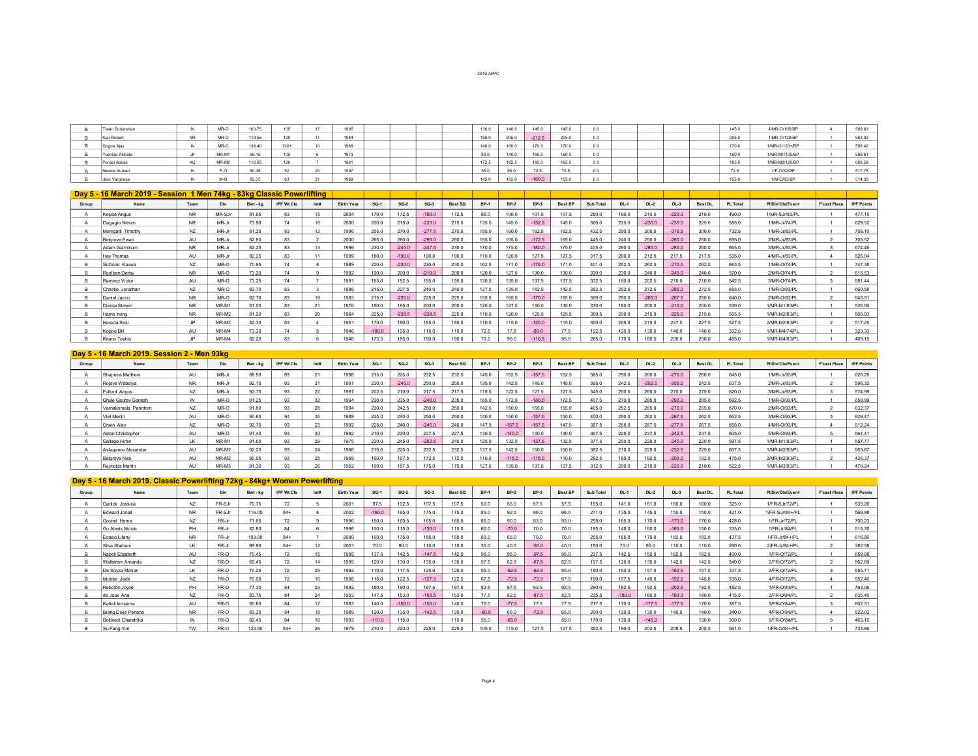| 2019 APPC |  |  |
|-----------|--|--|

| Tiwari Sudarshan |      | MR-O  | 103.75 | 105    | 1995          |  |  | 130.0 | 140.0 | 145.0    | 145.0 |         |  |  | 145.0 | 4/MR-0/105/BP  | 509.63 |
|------------------|------|-------|--------|--------|---------------|--|--|-------|-------|----------|-------|---------|--|--|-------|----------------|--------|
| Kun Robert       | NR.  | MR-O  | 119.55 | 120    | 198           |  |  | 185.0 | 205.0 | $-212.5$ | 205.0 | - - - - |  |  | 205.0 | 1/MR-0/120/RP  | 663.02 |
| Gogna Ajay       |      | MR-O  | 138.40 | $120+$ | 1988          |  |  | 140.0 | 160.0 | 170.0    | 170.0 |         |  |  | 170.0 | 1/MR-O/120+/BP | 508.42 |
| Yoshida Akihide  |      | MR-M1 | 96.15  | 105    | 1973          |  |  | 80.0  | 140.0 | 160.0    | 160.0 | .       |  |  | 160.0 | 1/MR-M1/105/BP | 589.61 |
| Pordel Abbas     | AI I | MR-M2 | 116.05 | 120    | 1961          |  |  | 172.5 | 182.5 | 185.0    | 185.0 |         |  |  | 185.0 | 1/MR-M2/120/BP | 608.56 |
| Neema Kumari     |      | F-O.  | 50.45  |        |               |  |  | 55.0  | 65.0  | 72.5     | 72.5  |         |  |  | 72.5  | 1/F-0/52/BP    | 517.75 |
| Jibin Varghese   |      | M-O   | 82.05  |        | 1000<br>1900. |  |  | 145.0 | 155.0 | $-160.0$ | 155.0 |         |  |  | 155.0 | 1/M-O/83/BF    | 514.30 |

|       | Day 5 - 16 March 2019 - Session 1 Men 74kg - 83kg Classic Powerlifting |           |        |          |                   |      |                   |          |          |          |                |             |                  |             |                |                  |        |          |          |                |                 |                  |                     |                   |
|-------|------------------------------------------------------------------------|-----------|--------|----------|-------------------|------|-------------------|----------|----------|----------|----------------|-------------|------------------|-------------|----------------|------------------|--------|----------|----------|----------------|-----------------|------------------|---------------------|-------------------|
| Group | Name                                                                   | Team      | Div    | Bwt - kg | <b>IPF Wt Cls</b> | lot# | <b>Birth Year</b> | $SO-1$   | $SO-2$   | $SO-3$   | <b>Best SQ</b> | <b>BP-1</b> | <b>BP-2</b>      | <b>BP-3</b> | <b>Best BF</b> | <b>Sub Total</b> | $DL-1$ | $DL-2$   | $DL-3$   | <b>Best DL</b> | <b>PL Total</b> | Pl/Div/Cls/Event | <b>F'cast Place</b> | <b>IPF Points</b> |
|       | Kepae Angus                                                            | NR.       | MR-SJr | 81.65    | 83                | 15   | 2004              | 170.0    | 172.5    | $-190.0$ | 172.5          | 90.0        | 100.0            | 107.5       | 107.5          | 280.0            | 190.0  | 210.0    | $-220.0$ | 210.0          | 490.0           | 1/MR-SJr/83/PL   |                     | 477.15            |
|       | Dagagio Nitrum                                                         | NR.       | MR-Jr  | 73.90    | 74                | 16   | 2000              | 200.0    | 215.0    | $-220.0$ | 215.0          | 135.0       | 145.0            | $-152.5$    | 145.0          | 360.0            | 225.0  | $-230.0$ | $-230.0$ | 225.0          | 585.0           | 1/MR-Jr/74/PL    |                     | 629.52            |
|       | Monigatti Timothy                                                      | NZ        | MR-Jr  | 81.20    |                   | 12   | 1996              | 255.0    | 270.0    | $-277.5$ | 270.0          | 155.0       | 160.             | 162.5       | 162.5          | 432.5            | 290.0  | 300.0    | $-316.5$ | 300.0          | 732.5           | 1/MR-Jr/83/PL    |                     | 758.10            |
|       | Belgrove Ewan                                                          | AU        | MR-Jr  | 82.80    | 83                |      | 2000              | 265.0    | 280.0    | $-290.0$ | 280.0          | 155.0       | 165.0            | $-172.5$    | 165.0          | 445.0            | 240.0  | 250.0    | $-260.0$ | 250.0          | 695.0           | 2/MR-Jr/83/PL    | $\sim$              | 705.52            |
|       | Adam Gaiminum                                                          | NR.       | MR-Jr  | 82.25    | 83                | 42   | 1996              | 230.0    | $-245.0$ | $-247.5$ | 230.0          | 170.0       | 175.0            | $-180.0$    | 175.0          | 405.0            | 260.0  | $-280.0$ | $-280.0$ | 260.0          | 665.0           | 3/MR-Jr/83/PL    |                     | 674.46            |
|       | Hav Thomas                                                             | AU        | MR-Jr  | 82.25    |                   |      | 1999              | 180.0    | $-190.0$ | 190.0    | 190.0          | 110.0       | 120.1            | 127.5       | 127.5          | 317.5            | 200.0  | 212.5    | 217.5    | 217.5          | 535.0           | 4/MR-Jr/83/PL    |                     | 526.04            |
|       | Sichone Kawya                                                          | NZ        | MR-O   | 70.95    |                   |      | 1989              | 220.0    | $-230.0$ | 230.0    | 230.0          | 162.5       | 171.0            | $-176.0$    | 171.0          | 401.0            | 252.5  | 262.5    | $-270.0$ | 262.5          | 663.5           | 1/MR-O/74/PL     |                     | 747.38            |
|       | Rodiben Derby                                                          | <b>NR</b> | $MR-O$ | 73.20    | 74                |      | 1992              | 190.0    | 200.1    | $-210.0$ | 200.0          | 120.0       | 127.5            | 130.0       | 130.0          | 330.0            | 230.0  | 240.0    | $-245.0$ | 240.0          | 570.0           | 2/MR-0/74/PL     | $\sim$              | 615.53            |
|       | Ramirez Victor                                                         | AU        | MR-O   | 73.25    | 74                |      | 1991              | 185.0    | 192.5    | 195.0    | 195.0          | 130.0       | 135.0            | 137.5       | 137.5          | 332.5            | 190.0  | 202.5    | 210.0    | 210.0          | 542.5           | 3/MR-O/74/PL     |                     | 581.44            |
|       | Christie Jonathan                                                      | M7        | MR-O   | 82.70    |                   |      | 1986              | 215.0    | 227.     | 240.0    | 240.0          | 127.5       | 135              | 142.5       | 142            | 382.5            | 252.5  | 272.5    | $-285.0$ | 272.5          | 655.0           | 1/MR-O/83/PL     |                     | 660.58            |
|       | Daniel Jacco                                                           | NR.       | MR-O   | 8270     | 93                |      | 1983              | 215.0    | $-225.0$ | 225.0    | 225.0          | 155.0       |                  | $-170.0$    | 165.           | 390.0            | 250.0  | $-260.0$ | $-267.5$ | 250.0          | 640.0           | 2/MR-O/83/PL     |                     | 643.51            |
|       | Diema Steven                                                           | NR.       | MR-M1  | 81.00    |                   |      | 1976              | 180.0    | 195.0    | 200.0    | 200.0          | 1200        | 127              | 1300        | 130            | 3300             | 1800   | 200.0    | $-2100$  | 200.0          | 530.0           | 1/MR-M1/83/PL    |                     | 526.00            |
|       | Harris Irving                                                          | <b>NR</b> | MR-M2  | 81.20    |                   |      | 1964              | 225.0    | $-238.5$ | $-238.5$ | 225.0          | 110.0       | 120 <sub>0</sub> | 125.5       | 125.5          | 350.5            | 200.0  | 215.0    | $-225.0$ | 215.0          | 565.5           | 1/MR-M2/83/PL    |                     | 565.93            |
|       | Harada Seii                                                            | ID        | MR-M2  | 82.30    |                   |      | 1961              | 170.0    | 180.0    | 185.0    | 185.0          | 110.0       | 15.0             | $-120.0$    | 115.0          | 300.0            | 205.0  | 215.0    | 227.5    | 227.5          | 527.5           | 2/MR-M2/83/PL    |                     | 517.25            |
|       | Koope Bill                                                             | AU        | MR-M4  | 73.30    |                   |      | 1946              | $-100.0$ | 105.0    | 15.0     | 115.0          | 72.5        | 77.5             | $-80.0$     | 77.5           | 192.5            | 125.0  | 135.0    | 140.0    | 140.0          | 332.5           | 1/MR-M4/74/PL    |                     | 323.33            |
|       | Kitano Toshio                                                          | 1D        | MR-M4  | 82.20    | 83                |      | 1946              | 173.5    | 185.0    | 1900     |                | 70.0        | 950              | $-110.5$    | 95.0           | 285.0            | 1700   | 180.5    | 2000     | 200.0          | 485.0           | 1/MR-M4/83/PL    |                     | 469.15            |

## **Day 5 16 March 2019. Session 2 Men 93kg**

| Group | Name                  | Team      | Div    | Bwt - kg | <b>IPF Wt Cls</b> | lot# | <b>Birth Year</b> | $SO-1$ | $SO-2$   | $SO-3$   | Best SQ | <b>BP-1</b> | <b>BP-2</b> | $BP-3$   | <b>Best BF</b> | Sub Total | $DL-1$ | $DL-2$   | $DL-3$   | <b>Best DL</b> | <b>PL Total</b> | Pl/Div/Cls/Event | <b>F'cast Place</b> | <b>IPF Points</b> |
|-------|-----------------------|-----------|--------|----------|-------------------|------|-------------------|--------|----------|----------|---------|-------------|-------------|----------|----------------|-----------|--------|----------|----------|----------------|-----------------|------------------|---------------------|-------------------|
|       | Shapiera Matthew      | AU        | MR-Jr  | 88.50    |                   |      | 1998              | 215.0  | 225.0    | 232.5    | 232.5   | 145.0       |             | $-157.5$ | 1525           | 385.0     | 250.0  | 260.0    | $-270.0$ | 260.0          | 645.0           | 1/MR-Jr/93/PL    |                     | 620.29            |
|       | Rojave Wabeiva        | <b>NR</b> | MR-Jr  | 92.10    |                   |      | 1007              | 230.0  | $-245.0$ | 250.0    | 250.0   | 135.0       |             | 145.0    | 145.0          | 395.0     | 242.5  | $-252.5$ | $-255.0$ | 242.5          | 637.5           | 2/MR-Jr/93/PL    |                     | 596.32            |
|       | Fulford Angus         |           | MR-Jr  | 92.75    |                   |      | 1007              | 202.5  | 210.     |          | 217.5   | 115.0       |             | 127.5    | 127            | 345.0     | 250.0  | 265.0    |          | 275.0          | 620.0           | 3/MR-Jr/93/PL    |                     | 574.99            |
|       | Ghule Gauray Ganesh   |           | $MR-O$ | 91 25    |                   |      | 1994              | 230.0  | 235.     | $-240.0$ | 235.0   | 165.0       |             | $-180.0$ | 172.5          | 407.5     | 270.0  | 285.0    | $-290.0$ | 285.0          | 692.5           | 1/MR-O/93/PL     |                     | 658.99            |
|       | Varnakomala Parintorn | N7        | MR-O   | 91.80    |                   | 28   | 1994              | 230.0  | 242.5    | 250.0    | 250.0   | 142.5       | 150.0       | 155.0    | 155.0          | 405.0     | 252.5  | 265.0    | $-270.0$ | 265.0          | 670.0           | 2/MR-O/93/PL     |                     | 632.37            |
|       | Viet Merlin           | AU        | MR-O   | 90.65    |                   | 35   | 1988              | 225.0  | 240.0    | 250.0    | 250.0   | 140.0       | 150.0       | $-157.5$ | 150.0          | 400.0     | 250.0  | 262.5    | $-267.5$ | 262.5          | 662.5           | 3/MR-O/93/PL     |                     | 629.47            |
|       | Orwin Alex            |           | MR-O   | 92.75    |                   |      | 1992              | 225.0  | 240.0    | $-245.0$ | 240.0   | 147.5       | $-157.5$    | $-157.5$ | 147.5          | 387.5     | 255.0  | 267.5    | $-277.5$ | 267.5          | 655.0           | 4/MR-O/93/PL     |                     | 612.24            |
|       | Aslan Christopher     | AU        | $MR-O$ | 9140     |                   |      | 1992              | 210.0  | 220.0    | 227.5    | 227.5   | 130.0       | $-140.0$    | 1400     | 1400           | 367.5     | 225.0  | 237.5    | $-242.5$ | 237.5          | 605.0           | 5/MR-O/93/PL     |                     | 564.41            |
|       | Gallage Hiran         |           | MR-M1  | 91.05    |                   |      | 1975              | 230.0  | 245.1    | $-252.5$ | 245.0   | 125.0       | 132.5       | $-137.5$ | 132.5          | 377.5     | 200.0  | 220.0    | $-240.0$ | 220.0          | 597.5           | 1/MR-M1/93/PL    |                     | 557.77            |
|       | Asfaganov Alexander   | AU        | MR-M2  | 92.25    |                   | 24   | 1966              | 215.0  | 225.0    | 232.5    | 232.5   | 137.5       | 142.5       | 150.0    | 150.0          | 382.5     | 210.0  | 225.0    | $-232.5$ | 225.0          | 607.5           | 1/MR-M2/93/PL    |                     | 563.67            |
|       | <b>Belgrove Nick</b>  | AU        | MR-M2  | 90.95    |                   | 25   | 1969              | 160.0  | 167.5    | 172.5    | 172.5   | 110.0       | $-115.0$    | $-115.0$ | 110.0          | 282.5     | 185.0  | 192.5    | $-200.0$ | 192.5          | 475.0           | 2/MR-M2/93/PL    |                     | 426.37            |
|       | Revnolds Martin       | AU        | MR-M3  | 91.30    |                   |      | 1952              | 160.0  | 167.5    | 75.0     | 175.0   | 127.5       |             | 137.5    | 137.5          | 312.5     | 200.0  | 210.0    | $-220.0$ | 210.0          | 522.5           | 1/MR-M3/93/PL    |                     | 476.24            |

|       | Day 5 - 16 March 2019. Classic Powerlifting 72kg - 84kg + Women Powerlifting |           |        |          |            |      |                   |          |          |          |         |             |         |         |                |           |          |          |          |                |                 |                  |                     |                   |
|-------|------------------------------------------------------------------------------|-----------|--------|----------|------------|------|-------------------|----------|----------|----------|---------|-------------|---------|---------|----------------|-----------|----------|----------|----------|----------------|-----------------|------------------|---------------------|-------------------|
| Group | Name                                                                         | Team      | Div    | Bwt - ka | IPF Wt Cls | Iot# | <b>Birth Year</b> | $SO-1$   | $SO-2$   | $SO-3$   | Best SQ | <b>BP-1</b> | $BP-2$  | $BP-3$  | <b>Best BP</b> | Sub Total | $DL-1$   | $DL-2$   | $DL-3$   | <b>Best DL</b> | <b>PL Total</b> | Pl/Div/Cls/Event | <b>F'cast Place</b> | <b>IPF Points</b> |
|       | Garlick Jessica                                                              | NZ        | FR-SJr | 70.75    | 72         |      | 2001              | 97.5     | 102.5    | 107.5    | 107.5   | 50.0        | 55.0    | 57.5    | 57.5           | 165.0     | 141.0    | 151.0    | 160.0    | 160.0          | 325.0           | 1/FR-SJr/72/PL   |                     | 533.26            |
|       | Edward Jonali                                                                | <b>NR</b> | FR-SJr | 116.05   | $84+$      |      | 2002              | $-165.0$ | 165.0    | 175.0    | 175.0   | 85.0        | 92.5    | 96.0    | 96.0           | 271.0     | 135.0    | 145.0    | 150.0    | 150.0          | 421.0           | 1/FR-SJr/84+/PL  |                     | 569.98            |
|       | Govind Hema                                                                  | NZ        | FR-Jr  | 71.65    | 72         |      | 1996              | 150.0    | 160.5    | 165.0    | 165.0   | 85.0        | 90.0    | 93.0    | 93.0           | 258.0     | 165.0    | 170.0    | $-173.0$ | 170.0          | 428.0           | 1/FR-Jr/72/PL    |                     | 700.23            |
|       | Go Alexis Nicole                                                             | PH        | FR-Jr  | 82.80    | 84         |      | 1996              | 100.0    | 15.0     | $-130.0$ | 15.0    | 60.0        | $-70.0$ | 70.0    | 70.0           | 185.0     | 140.0    | 150.0    | $-165.0$ | 150.0          | 335.0           | 1/FR-Jr/84/PL    |                     | 515.76            |
|       | Eoaeo Litany                                                                 | <b>NR</b> | FR-Jr  | 103.00   | $84+$      |      | 2000              | 160.0    | 1750     | 185.0    | 1850    | 60.0        | 65.0    | 70.0    | 70.0           | 255.0     | 165.0    | 175.0    | 182.5    | 182.5          | 437.5           | 1/FR-Jr/84+/PL   |                     | 616.86            |
|       | Silva Shehani                                                                | 1K        | FR-Jr  | 95.90    | $84+$      |      | 2001              | 70.0     | 90.0     | 110.0    | 10.0    | 35.0        | 40.0    | $-50.0$ | 40.0           | 150.0     | 70.0     | 90.0     | 110.0    | 110.0          | 260.0           | 2/FR-Jr/84+/PL   |                     | 382.58            |
|       | Napoli Elizabeth                                                             | AU        | FR-O   | 70.45    | 72         | 15   | 1995              | 137.5    | 142.5    | $-147.5$ | 142.5   | 90.0        | 95.0    | $-97.5$ | 95.0           | 237.5     | 142.5    | 150.0    | 162.5    | 162.5          | 400.0           | 1/FR-0/72/PL     |                     | 659.08            |
|       | <b>Wallstrom Amanda</b>                                                      | NZ        | FR-O   | 69.45    | 72         |      | 1995              | 120.0    | 1300     | 135.0    |         | 57.5        | 62.5    | $-67.5$ | 62.5           | 1975      | 125.0    | 135.0    | 142.5    | 142.5          | 340.0           | 2/FR-0/72/PL     |                     | 562.69            |
|       | De Soyza Marian                                                              | 1K        | FR-O   | 70.25    | 72         |      |                   | 1100     |          | 1250     |         | 550         | $-62.5$ | $-62.5$ | 550            | 1800      | 150.0    | 157.5    | $-162.5$ | 157.5          | 337.5           | 3/FR-0/72/PL     |                     | 555.71            |
|       | Isbister Jade                                                                | NZ        | FR-0   | 70.00    | 72         |      | 1998              | 1150     | 122.5    | $-127.5$ | 122.5   | 675         | $-72.5$ | $-72.5$ | 675            | 1900      | 137.5    | 1450     | $-152.5$ | 1450           | 3350            | 4/FR-0/72/PL     |                     | 552.40            |
|       | Reboton Joyce                                                                | PH        | FR-O   | 77.30    | RA         | 22   |                   | 180.0    | 190.0    | 197.5    |         | 82.5        | 87.5    | 92.5    | 92.5           | 290.0     | 182.5    | 192.5    | $-202.5$ | 192.5          | 482.5           | 1/FR-0/84/PL     |                     | 763.06            |
|       | de Joux Ana                                                                  | NZ        | FR-O   | 83.75    | 84         | 24   | 1953              | 147.5    | 153.0    | $-155.5$ | 153.0   | 77.5        | 82.5    | $-87.5$ | 82.5           | 235.5     | $-180.0$ | 180.0    | $-193.0$ | 180.0          | 415.5           | 2/FR-0/84/PL     |                     | 635.40            |
|       | Katieli lemaima                                                              | AU        | FR-O   | 80.60    | 84         |      | 1983              | 140.0    | $-150.0$ | $-150.0$ | 140.0   | 70.0        | $-77.5$ | 77.5    | 77.5           | 217.5     | 170.0    | $-177.5$ | $-177.5$ | 170.0          | 387.5           | 3/FR-0/84/PL     |                     | 602.31            |
|       | Biang Dixie Penana                                                           | <b>NR</b> | FR-0   | 83.35    | 84         | 18   | 1989              | 120.0    | 135.0    | $-142.5$ | 135.0   | $-60.0$     | 65.0    | $-72.5$ | 65.0           | 200.0     | 120.0    | 130.0    | 140.0    | 140.0          | 340.0           | 4/FR-0/84/PL     |                     | 522.03            |
|       | Bollinedi Chandrika                                                          | N         | FR-O   | 82.45    | 84         | 19   | 1993              | $-110.0$ |          |          | 115.0   | 55.0        | $-65.0$ |         | 55.0           | 170.0     | 130.0    | $-145.0$ |          | 130.0          | 300.0           | 5/FR-0/84/PL     |                     | 463.16            |
|       | Su Fang-Yun                                                                  | <b>TW</b> | FR-O   | 123.90   | $84+$      |      |                   | 210.0    | 220.0    | 225.0    | 225.0   | 105.0       | 115.0   | 127.5   | 127.5          | 352.5     | 190.0    | 202.5    | 208.5    | 208.5          | 561.0           | 1/FR-0/84+/PL    |                     | 733.66            |